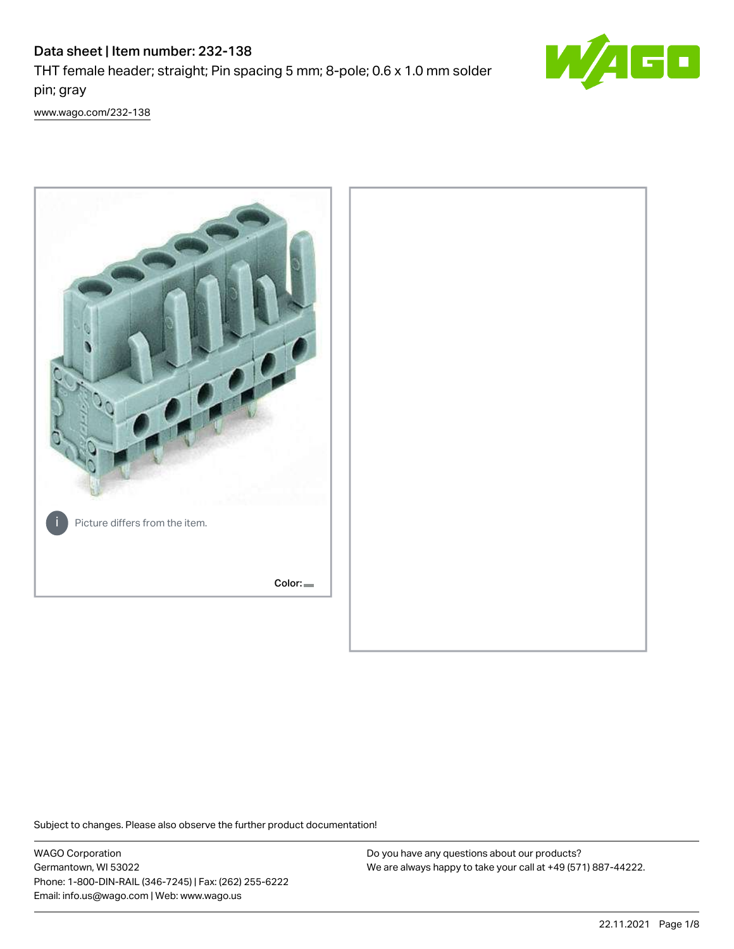# Data sheet | Item number: 232-138



THT female header; straight; Pin spacing 5 mm; 8-pole; 0.6 x 1.0 mm solder pin; gray

[www.wago.com/232-138](http://www.wago.com/232-138)



Subject to changes. Please also observe the further product documentation!

WAGO Corporation Germantown, WI 53022 Phone: 1-800-DIN-RAIL (346-7245) | Fax: (262) 255-6222 Email: info.us@wago.com | Web: www.wago.us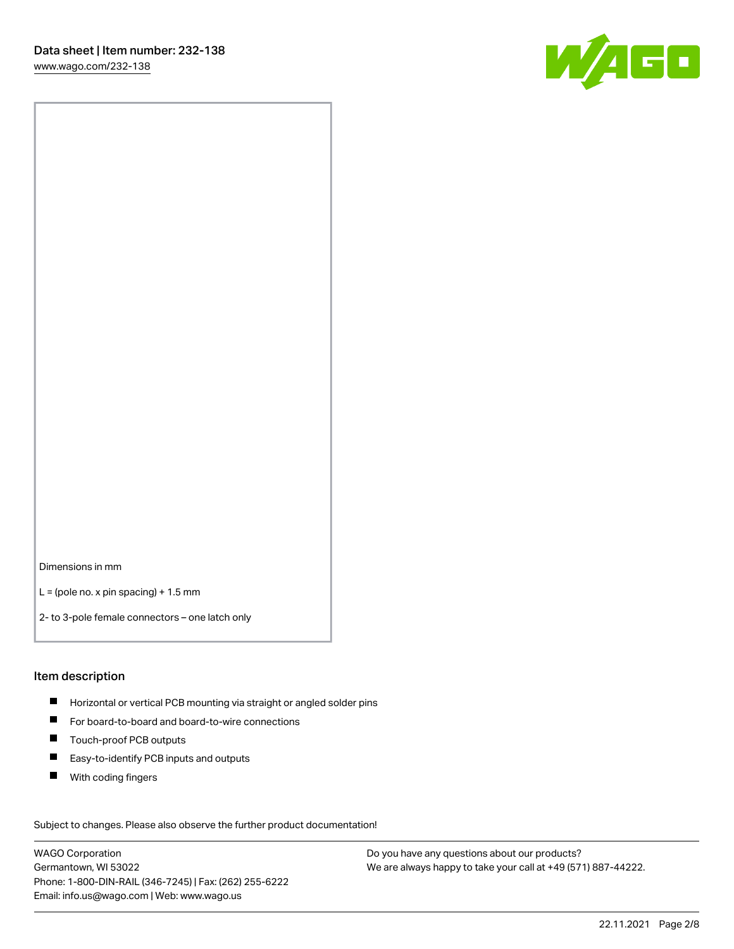

Dimensions in mm

 $L =$  (pole no. x pin spacing) + 1.5 mm

2- to 3-pole female connectors – one latch only

#### Item description

- **Horizontal or vertical PCB mounting via straight or angled solder pins**
- For board-to-board and board-to-wire connections
- $\blacksquare$ Touch-proof PCB outputs
- $\blacksquare$ Easy-to-identify PCB inputs and outputs
- $\blacksquare$ With coding fingers

Subject to changes. Please also observe the further product documentation! Data

WAGO Corporation Germantown, WI 53022 Phone: 1-800-DIN-RAIL (346-7245) | Fax: (262) 255-6222 Email: info.us@wago.com | Web: www.wago.us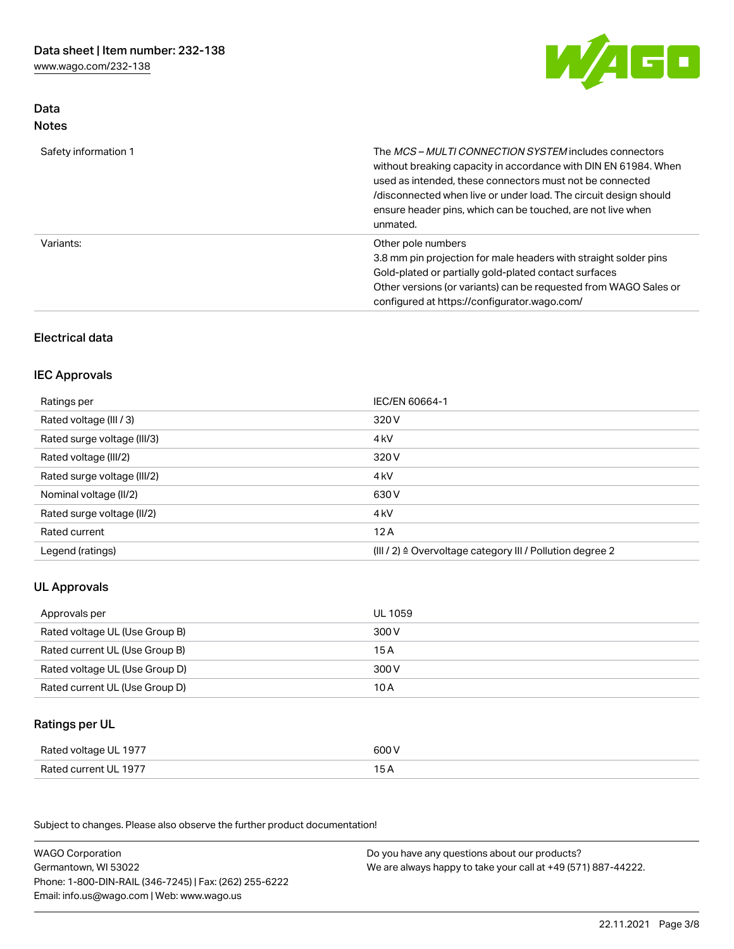[www.wago.com/232-138](http://www.wago.com/232-138)



## Data Notes

| Safety information 1 | The <i>MCS – MULTI CONNECTION SYSTEM</i> includes connectors<br>without breaking capacity in accordance with DIN EN 61984. When<br>used as intended, these connectors must not be connected<br>/disconnected when live or under load. The circuit design should<br>ensure header pins, which can be touched, are not live when<br>unmated. |
|----------------------|--------------------------------------------------------------------------------------------------------------------------------------------------------------------------------------------------------------------------------------------------------------------------------------------------------------------------------------------|
| Variants:            | Other pole numbers<br>3.8 mm pin projection for male headers with straight solder pins<br>Gold-plated or partially gold-plated contact surfaces<br>Other versions (or variants) can be requested from WAGO Sales or<br>configured at https://configurator.wago.com/                                                                        |

# Electrical data

#### IEC Approvals

| Ratings per                 | IEC/EN 60664-1                                                        |
|-----------------------------|-----------------------------------------------------------------------|
| Rated voltage (III / 3)     | 320 V                                                                 |
| Rated surge voltage (III/3) | 4 <sub>k</sub> V                                                      |
| Rated voltage (III/2)       | 320 V                                                                 |
| Rated surge voltage (III/2) | 4 <sub>k</sub> V                                                      |
| Nominal voltage (II/2)      | 630 V                                                                 |
| Rated surge voltage (II/2)  | 4 <sub>k</sub> V                                                      |
| Rated current               | 12A                                                                   |
| Legend (ratings)            | $(III / 2)$ $\triangle$ Overvoltage category III / Pollution degree 2 |

## UL Approvals

| Approvals per                  | UL 1059 |
|--------------------------------|---------|
| Rated voltage UL (Use Group B) | 300 V   |
| Rated current UL (Use Group B) | 15 A    |
| Rated voltage UL (Use Group D) | 300 V   |
| Rated current UL (Use Group D) | 10 A    |

# Ratings per UL

| UL 1977                | 600                                 |
|------------------------|-------------------------------------|
| Rated voltage          | .                                   |
| Rated current<br>-1977 | the contract of the contract of the |

Subject to changes. Please also observe the further product documentation!

| <b>WAGO Corporation</b>                                | Do you have any questions about our products?                 |
|--------------------------------------------------------|---------------------------------------------------------------|
| Germantown, WI 53022                                   | We are always happy to take your call at +49 (571) 887-44222. |
| Phone: 1-800-DIN-RAIL (346-7245)   Fax: (262) 255-6222 |                                                               |
| Email: info.us@wago.com   Web: www.wago.us             |                                                               |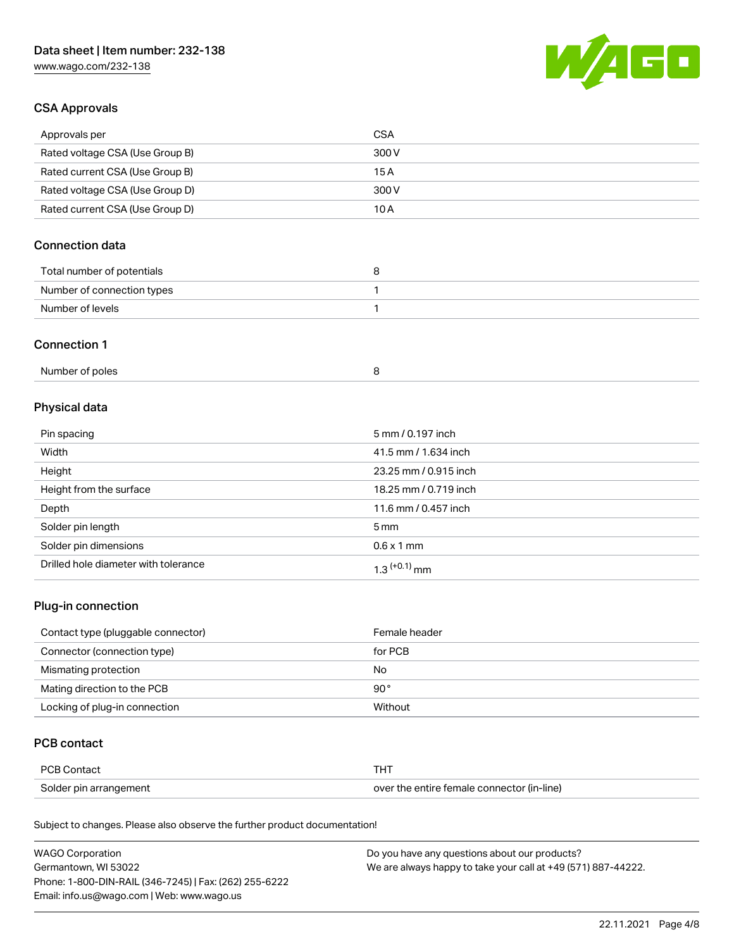[www.wago.com/232-138](http://www.wago.com/232-138)



#### CSA Approvals

| Approvals per                   | CSA   |
|---------------------------------|-------|
| Rated voltage CSA (Use Group B) | 300 V |
| Rated current CSA (Use Group B) | 15 A  |
| Rated voltage CSA (Use Group D) | 300 V |
| Rated current CSA (Use Group D) | 10 A  |

# Connection data

| Total number of potentials |  |
|----------------------------|--|
| Number of connection types |  |
| Number of levels           |  |

#### Connection 1

| Number of poles |  |
|-----------------|--|
|-----------------|--|

# Physical data

| Pin spacing                          | 5 mm / 0.197 inch     |
|--------------------------------------|-----------------------|
| Width                                | 41.5 mm / 1.634 inch  |
| Height                               | 23.25 mm / 0.915 inch |
| Height from the surface              | 18.25 mm / 0.719 inch |
| Depth                                | 11.6 mm / 0.457 inch  |
| Solder pin length                    | $5 \,\mathrm{mm}$     |
| Solder pin dimensions                | $0.6 \times 1$ mm     |
| Drilled hole diameter with tolerance | $1.3$ $(+0.1)$ mm     |

## Plug-in connection

| Contact type (pluggable connector) | Female header |
|------------------------------------|---------------|
| Connector (connection type)        | for PCB       |
| Mismating protection               | No            |
| Mating direction to the PCB        | $90^{\circ}$  |
| Locking of plug-in connection      | Without       |

#### PCB contact

| PCB Contact            | THT                                        |
|------------------------|--------------------------------------------|
| Solder pin arrangement | over the entire female connector (in-line) |

Subject to changes. Please also observe the further product documentation!

| <b>WAGO Corporation</b>                                | Do you have any questions about our products?                 |
|--------------------------------------------------------|---------------------------------------------------------------|
| Germantown, WI 53022                                   | We are always happy to take your call at +49 (571) 887-44222. |
| Phone: 1-800-DIN-RAIL (346-7245)   Fax: (262) 255-6222 |                                                               |
| Email: info.us@wago.com   Web: www.wago.us             |                                                               |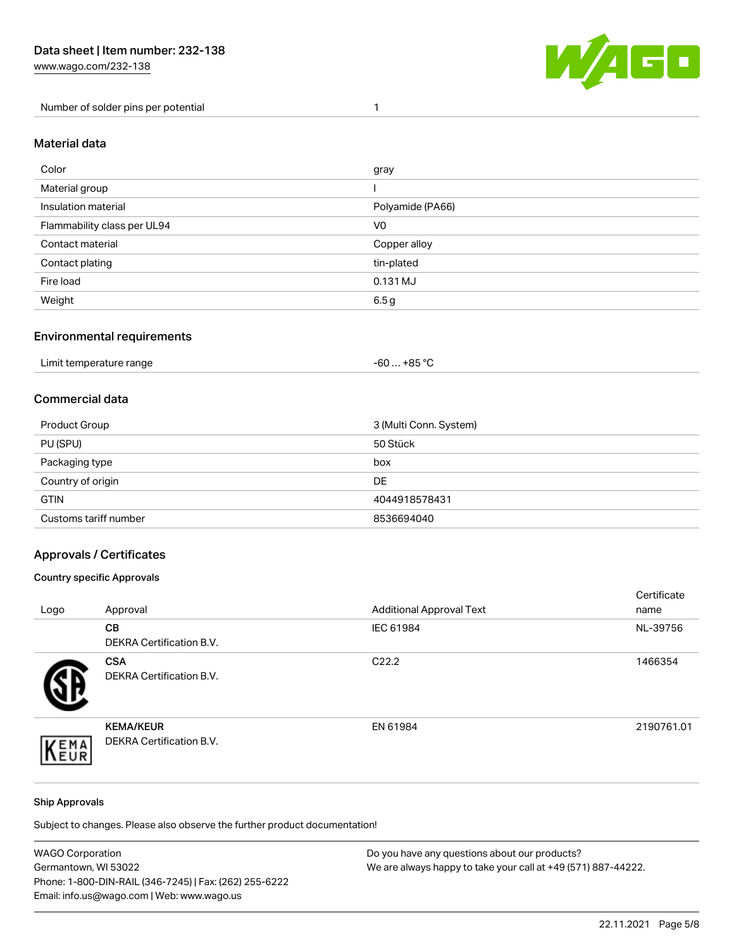Number of solder pins per potential 1



#### Material data

| Color                       | gray             |
|-----------------------------|------------------|
| Material group              |                  |
| Insulation material         | Polyamide (PA66) |
| Flammability class per UL94 | V <sub>0</sub>   |
| Contact material            | Copper alloy     |
| Contact plating             | tin-plated       |
| Fire load                   | 0.131 MJ         |
| Weight                      | 6.5g             |

#### Environmental requirements

| Limit temperature range<br>.<br>. | +85 °C<br>-60 |  |
|-----------------------------------|---------------|--|
|-----------------------------------|---------------|--|

#### Commercial data

| Product Group         | 3 (Multi Conn. System) |
|-----------------------|------------------------|
| PU (SPU)              | 50 Stück               |
| Packaging type        | box                    |
| Country of origin     | DE                     |
| <b>GTIN</b>           | 4044918578431          |
| Customs tariff number | 8536694040             |

#### Approvals / Certificates

#### Country specific Approvals

| Logo | Approval                                            | <b>Additional Approval Text</b> | Certificate<br>name |
|------|-----------------------------------------------------|---------------------------------|---------------------|
|      | CВ<br><b>DEKRA Certification B.V.</b>               | IEC 61984                       | NL-39756            |
|      | <b>CSA</b><br>DEKRA Certification B.V.              | C <sub>22.2</sub>               | 1466354             |
| EMA  | <b>KEMA/KEUR</b><br><b>DEKRA Certification B.V.</b> | EN 61984                        | 2190761.01          |

#### Ship Approvals

Subject to changes. Please also observe the further product documentation!

| <b>WAGO Corporation</b>                                | Do you have any questions about our products?                 |
|--------------------------------------------------------|---------------------------------------------------------------|
| Germantown, WI 53022                                   | We are always happy to take your call at +49 (571) 887-44222. |
| Phone: 1-800-DIN-RAIL (346-7245)   Fax: (262) 255-6222 |                                                               |
| Email: info.us@wago.com   Web: www.wago.us             |                                                               |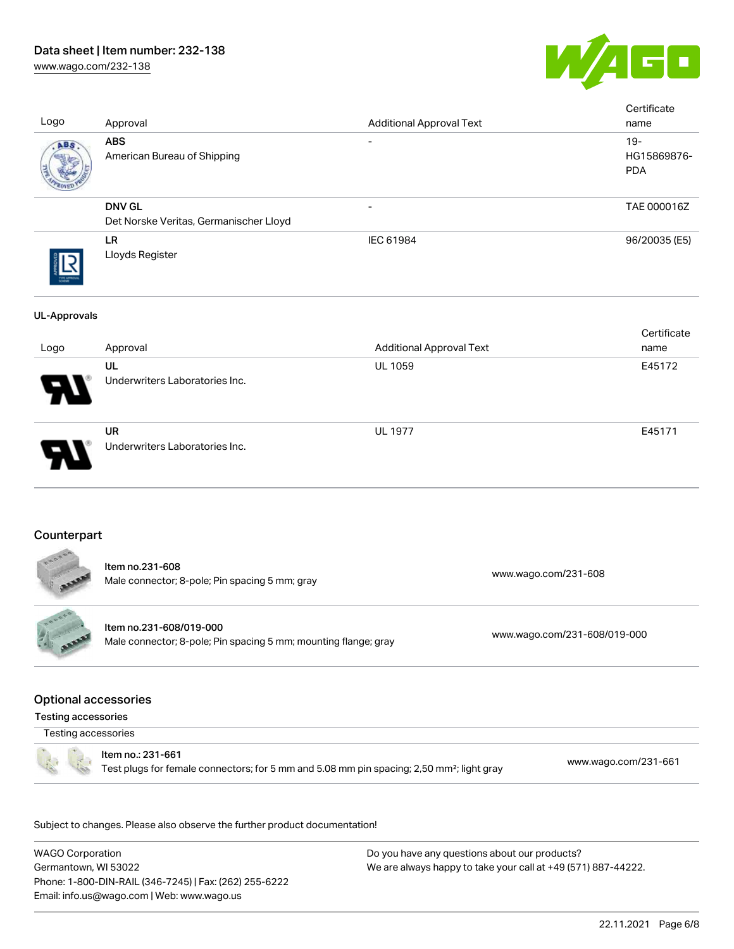# Data sheet | Item number: 232-138

[www.wago.com/232-138](http://www.wago.com/232-138)



| Logo                                                      | Approval                                                                                                                   | <b>Additional Approval Text</b> |                      | Certificate<br>name                 |
|-----------------------------------------------------------|----------------------------------------------------------------------------------------------------------------------------|---------------------------------|----------------------|-------------------------------------|
|                                                           | <b>ABS</b><br>American Bureau of Shipping                                                                                  |                                 |                      | $19 -$<br>HG15869876-<br><b>PDA</b> |
|                                                           | <b>DNV GL</b><br>Det Norske Veritas, Germanischer Lloyd                                                                    | $\overline{\phantom{0}}$        |                      | TAE 000016Z                         |
|                                                           | LR<br>Lloyds Register                                                                                                      | IEC 61984                       |                      | 96/20035 (E5)                       |
| <b>UL-Approvals</b>                                       |                                                                                                                            |                                 |                      |                                     |
| Logo                                                      | Approval                                                                                                                   | <b>Additional Approval Text</b> |                      | Certificate<br>name                 |
|                                                           | UL<br>Underwriters Laboratories Inc.                                                                                       | UL 1059                         |                      | E45172                              |
|                                                           | <b>UR</b><br>Underwriters Laboratories Inc.                                                                                | <b>UL 1977</b>                  |                      | E45171                              |
| Counterpart                                               | Item no.231-608<br>Male connector; 8-pole; Pin spacing 5 mm; gray                                                          |                                 | www.wago.com/231-608 |                                     |
| anana<br>CALL AREA                                        | Item no.231-608/019-000<br>www.wago.com/231-608/019-000<br>Male connector; 8-pole; Pin spacing 5 mm; mounting flange; gray |                                 |                      |                                     |
| <b>Optional accessories</b><br><b>Testing accessories</b> |                                                                                                                            |                                 |                      |                                     |
| Testing accessories                                       |                                                                                                                            |                                 |                      |                                     |
|                                                           | Item no.: 231-661<br>Test plugs for female connectors; for 5 mm and 5.08 mm pin spacing; 2,50 mm <sup>2</sup> ; light gray |                                 |                      | www.wago.com/231-661                |
|                                                           | Subject to changes. Please also observe the further product documentation!                                                 |                                 |                      |                                     |

WAGO Corporation Germantown, WI 53022 Phone: 1-800-DIN-RAIL (346-7245) | Fax: (262) 255-6222 Email: info.us@wago.com | Web: www.wago.us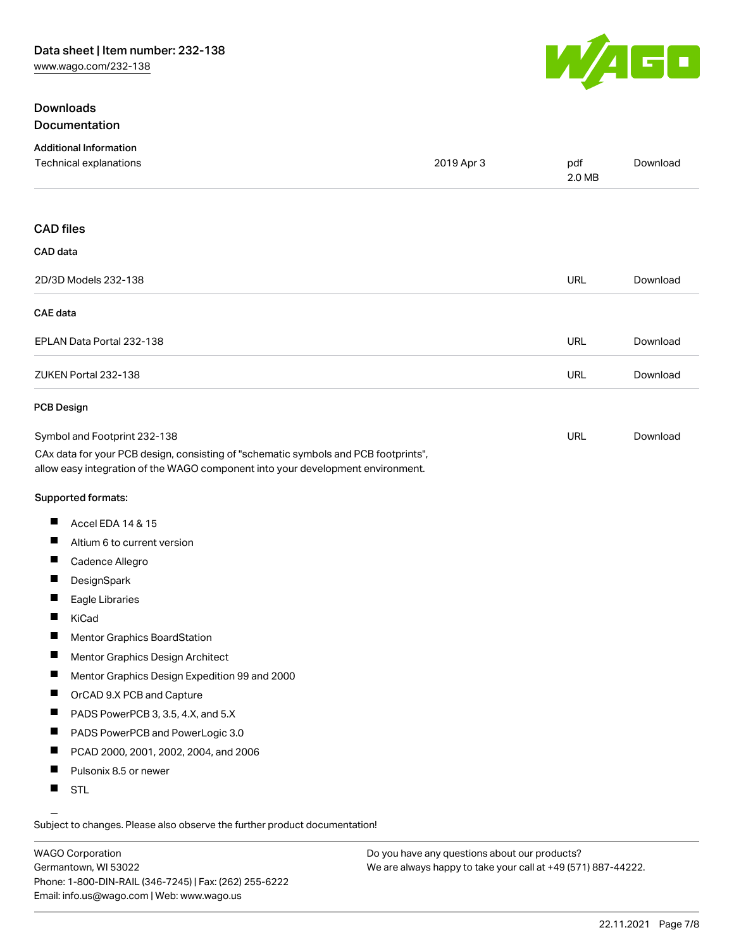## **Downloads** Documentation



| <b>Additional Information</b><br>Technical explanations                                                                                                                                                | 2019 Apr 3 | pdf<br>2.0 MB | Download |
|--------------------------------------------------------------------------------------------------------------------------------------------------------------------------------------------------------|------------|---------------|----------|
|                                                                                                                                                                                                        |            |               |          |
| <b>CAD files</b>                                                                                                                                                                                       |            |               |          |
| CAD data                                                                                                                                                                                               |            |               |          |
| 2D/3D Models 232-138                                                                                                                                                                                   |            | URL           | Download |
| <b>CAE</b> data                                                                                                                                                                                        |            |               |          |
| EPLAN Data Portal 232-138                                                                                                                                                                              |            | URL           | Download |
| ZUKEN Portal 232-138                                                                                                                                                                                   |            | <b>URL</b>    | Download |
| <b>PCB Design</b>                                                                                                                                                                                      |            |               |          |
| Symbol and Footprint 232-138<br>CAx data for your PCB design, consisting of "schematic symbols and PCB footprints",<br>allow easy integration of the WAGO component into your development environment. |            | URL           | Download |
| Supported formats:                                                                                                                                                                                     |            |               |          |
| щ<br>Accel EDA 14 & 15                                                                                                                                                                                 |            |               |          |
| Altium 6 to current version                                                                                                                                                                            |            |               |          |
| ш<br>Cadence Allegro                                                                                                                                                                                   |            |               |          |
| щ<br>DesignSpark                                                                                                                                                                                       |            |               |          |
| Eagle Libraries                                                                                                                                                                                        |            |               |          |
| ш<br>KiCad                                                                                                                                                                                             |            |               |          |
| ш<br>Mentor Graphics BoardStation                                                                                                                                                                      |            |               |          |
| ш<br>Mentor Graphics Design Architect                                                                                                                                                                  |            |               |          |
| ш<br>Mentor Graphics Design Expedition 99 and 2000                                                                                                                                                     |            |               |          |
| ш<br>OrCAD 9.X PCB and Capture                                                                                                                                                                         |            |               |          |
| PADS PowerPCB 3, 3.5, 4.X, and 5.X<br>П                                                                                                                                                                |            |               |          |
| ш<br>PADS PowerPCB and PowerLogic 3.0                                                                                                                                                                  |            |               |          |
| Ш<br>PCAD 2000, 2001, 2002, 2004, and 2006                                                                                                                                                             |            |               |          |
| ш<br>Pulsonix 8.5 or newer                                                                                                                                                                             |            |               |          |
| ш<br><b>STL</b>                                                                                                                                                                                        |            |               |          |

Subject to changes. Please also observe the further product documentation!

WAGO Corporation Germantown, WI 53022 Phone: 1-800-DIN-RAIL (346-7245) | Fax: (262) 255-6222 Email: info.us@wago.com | Web: www.wago.us